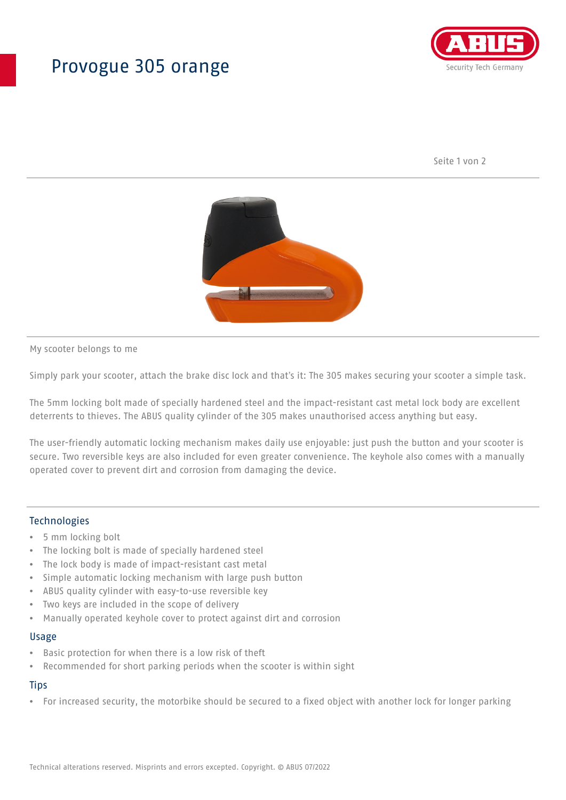## Provogue 305 orange



Seite 1 von 2



My scooter belongs to me

Simply park your scooter, attach the brake disc lock and that's it: The 305 makes securing your scooter a simple task.

The 5mm locking bolt made of specially hardened steel and the impact-resistant cast metal lock body are excellent deterrents to thieves. The ABUS quality cylinder of the 305 makes unauthorised access anything but easy.

The user-friendly automatic locking mechanism makes daily use enjoyable: just push the button and your scooter is secure. Two reversible keys are also included for even greater convenience. The keyhole also comes with a manually operated cover to prevent dirt and corrosion from damaging the device.

### Technologies

- 5 mm locking bolt
- The locking bolt is made of specially hardened steel
- The lock body is made of impact-resistant cast metal
- Simple automatic locking mechanism with large push button
- ABUS quality cylinder with easy-to-use reversible key
- Two keys are included in the scope of delivery
- Manually operated keyhole cover to protect against dirt and corrosion

#### Usage

- Basic protection for when there is a low risk of theft
- Recommended for short parking periods when the scooter is within sight

## **Tips**

• For increased security, the motorbike should be secured to a fixed object with another lock for longer parking